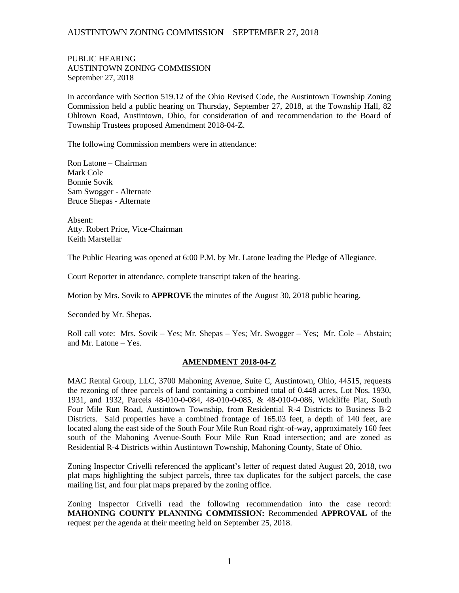## AUSTINTOWN ZONING COMMISSION – SEPTEMBER 27, 2018

PUBLIC HEARING AUSTINTOWN ZONING COMMISSION September 27, 2018

In accordance with Section 519.12 of the Ohio Revised Code, the Austintown Township Zoning Commission held a public hearing on Thursday, September 27, 2018, at the Township Hall, 82 Ohltown Road, Austintown, Ohio, for consideration of and recommendation to the Board of Township Trustees proposed Amendment 2018-04-Z.

The following Commission members were in attendance:

Ron Latone – Chairman Mark Cole Bonnie Sovik Sam Swogger - Alternate Bruce Shepas - Alternate

Absent: Atty. Robert Price, Vice-Chairman Keith Marstellar

The Public Hearing was opened at 6:00 P.M. by Mr. Latone leading the Pledge of Allegiance.

Court Reporter in attendance, complete transcript taken of the hearing.

Motion by Mrs. Sovik to **APPROVE** the minutes of the August 30, 2018 public hearing.

Seconded by Mr. Shepas.

Roll call vote: Mrs. Sovik – Yes; Mr. Shepas – Yes; Mr. Swogger – Yes; Mr. Cole – Abstain; and Mr. Latone – Yes.

## **AMENDMENT 2018-04-Z**

MAC Rental Group, LLC, 3700 Mahoning Avenue, Suite C, Austintown, Ohio, 44515, requests the rezoning of three parcels of land containing a combined total of 0.448 acres, Lot Nos. 1930, 1931, and 1932, Parcels 48-010-0-084, 48-010-0-085, & 48-010-0-086, Wickliffe Plat, South Four Mile Run Road, Austintown Township, from Residential R-4 Districts to Business B-2 Districts. Said properties have a combined frontage of 165.03 feet, a depth of 140 feet, are located along the east side of the South Four Mile Run Road right-of-way, approximately 160 feet south of the Mahoning Avenue-South Four Mile Run Road intersection; and are zoned as Residential R-4 Districts within Austintown Township, Mahoning County, State of Ohio.

Zoning Inspector Crivelli referenced the applicant's letter of request dated August 20, 2018, two plat maps highlighting the subject parcels, three tax duplicates for the subject parcels, the case mailing list, and four plat maps prepared by the zoning office.

Zoning Inspector Crivelli read the following recommendation into the case record: **MAHONING COUNTY PLANNING COMMISSION:** Recommended **APPROVAL** of the request per the agenda at their meeting held on September 25, 2018.